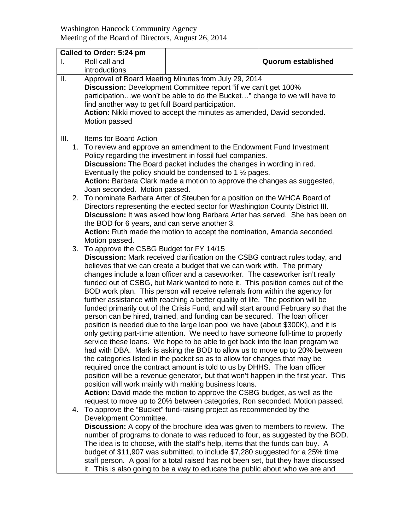Washington Hancock Community Agency Meeting of the Board of Directors, August 26, 2014

|                 | Called to Order: 5:24 pm                                                                                                                                                                                                                                                                                                                                                                                                                                                                                                                                                                                                                                                                                                                                                                                                                                                                                                                                                                                                                                                                                                                                                                                                                                                                                                                                                                                                                                                                                                                 |                                                                                                                                                                                                                                                                                                                                                                                                                                                                                                                                                                                      |                           |  |
|-----------------|------------------------------------------------------------------------------------------------------------------------------------------------------------------------------------------------------------------------------------------------------------------------------------------------------------------------------------------------------------------------------------------------------------------------------------------------------------------------------------------------------------------------------------------------------------------------------------------------------------------------------------------------------------------------------------------------------------------------------------------------------------------------------------------------------------------------------------------------------------------------------------------------------------------------------------------------------------------------------------------------------------------------------------------------------------------------------------------------------------------------------------------------------------------------------------------------------------------------------------------------------------------------------------------------------------------------------------------------------------------------------------------------------------------------------------------------------------------------------------------------------------------------------------------|--------------------------------------------------------------------------------------------------------------------------------------------------------------------------------------------------------------------------------------------------------------------------------------------------------------------------------------------------------------------------------------------------------------------------------------------------------------------------------------------------------------------------------------------------------------------------------------|---------------------------|--|
|                 | Roll call and<br>introductions                                                                                                                                                                                                                                                                                                                                                                                                                                                                                                                                                                                                                                                                                                                                                                                                                                                                                                                                                                                                                                                                                                                                                                                                                                                                                                                                                                                                                                                                                                           |                                                                                                                                                                                                                                                                                                                                                                                                                                                                                                                                                                                      | <b>Quorum established</b> |  |
| $\mathbf{II}$ . | find another way to get full Board participation.<br>Motion passed                                                                                                                                                                                                                                                                                                                                                                                                                                                                                                                                                                                                                                                                                                                                                                                                                                                                                                                                                                                                                                                                                                                                                                                                                                                                                                                                                                                                                                                                       | Approval of Board Meeting Minutes from July 29, 2014<br>Discussion: Development Committee report "if we can't get 100%<br>participationwe won't be able to do the Bucket" change to we will have to<br>Action: Nikki moved to accept the minutes as amended, David seconded.                                                                                                                                                                                                                                                                                                         |                           |  |
| III.            | <b>Items for Board Action</b>                                                                                                                                                                                                                                                                                                                                                                                                                                                                                                                                                                                                                                                                                                                                                                                                                                                                                                                                                                                                                                                                                                                                                                                                                                                                                                                                                                                                                                                                                                            |                                                                                                                                                                                                                                                                                                                                                                                                                                                                                                                                                                                      |                           |  |
| 1.              | To review and approve an amendment to the Endowment Fund Investment<br>Policy regarding the investment in fossil fuel companies.<br><b>Discussion:</b> The Board packet includes the changes in wording in red.<br>Eventually the policy should be condensed to 1 $\frac{1}{2}$ pages.<br>Action: Barbara Clark made a motion to approve the changes as suggested,<br>Joan seconded. Motion passed.                                                                                                                                                                                                                                                                                                                                                                                                                                                                                                                                                                                                                                                                                                                                                                                                                                                                                                                                                                                                                                                                                                                                      |                                                                                                                                                                                                                                                                                                                                                                                                                                                                                                                                                                                      |                           |  |
|                 | 2. To nominate Barbara Arter of Steuben for a position on the WHCA Board of<br>Directors representing the elected sector for Washington County District III.<br>Discussion: It was asked how long Barbara Arter has served. She has been on<br>the BOD for 6 years, and can serve another 3.<br>Action: Ruth made the motion to accept the nomination, Amanda seconded.                                                                                                                                                                                                                                                                                                                                                                                                                                                                                                                                                                                                                                                                                                                                                                                                                                                                                                                                                                                                                                                                                                                                                                  |                                                                                                                                                                                                                                                                                                                                                                                                                                                                                                                                                                                      |                           |  |
| 3.              | Motion passed.<br>To approve the CSBG Budget for FY 14/15<br>Discussion: Mark received clarification on the CSBG contract rules today, and<br>believes that we can create a budget that we can work with. The primary<br>changes include a loan officer and a caseworker. The caseworker isn't really<br>funded out of CSBG, but Mark wanted to note it. This position comes out of the<br>BOD work plan. This person will receive referrals from within the agency for<br>further assistance with reaching a better quality of life. The position will be<br>funded primarily out of the Crisis Fund, and will start around February so that the<br>person can be hired, trained, and funding can be secured. The loan officer<br>position is needed due to the large loan pool we have (about \$300K), and it is<br>only getting part-time attention. We need to have someone full-time to properly<br>service these loans. We hope to be able to get back into the loan program we<br>had with DBA. Mark is asking the BOD to allow us to move up to 20% between<br>the categories listed in the packet so as to allow for changes that may be<br>required once the contract amount is told to us by DHHS. The loan officer<br>position will be a revenue generator, but that won't happen in the first year. This<br>position will work mainly with making business loans.<br>Action: David made the motion to approve the CSBG budget, as well as the<br>request to move up to 20% between categories, Ron seconded. Motion passed. |                                                                                                                                                                                                                                                                                                                                                                                                                                                                                                                                                                                      |                           |  |
|                 | Development Committee.                                                                                                                                                                                                                                                                                                                                                                                                                                                                                                                                                                                                                                                                                                                                                                                                                                                                                                                                                                                                                                                                                                                                                                                                                                                                                                                                                                                                                                                                                                                   | 4. To approve the "Bucket" fund-raising project as recommended by the<br><b>Discussion:</b> A copy of the brochure idea was given to members to review. The<br>number of programs to donate to was reduced to four, as suggested by the BOD.<br>The idea is to choose, with the staff's help, items that the funds can buy. A<br>budget of \$11,907 was submitted, to include \$7,280 suggested for a 25% time<br>staff person. A goal for a total raised has not been set, but they have discussed<br>it. This is also going to be a way to educate the public about who we are and |                           |  |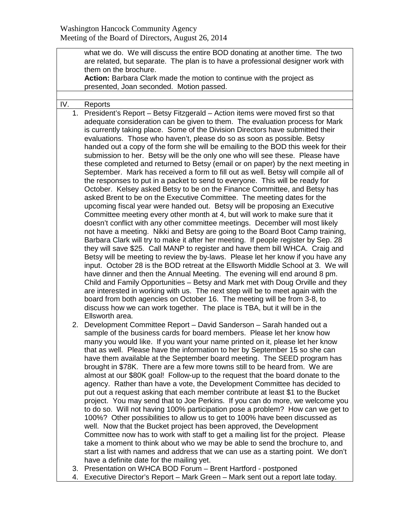|     |    | what we do. We will discuss the entire BOD donating at another time. The two                                                                                                                                                                                                                                                                                                                                                                                                                                                                                                                                                                                                                                                                                                                                                                                                                                                                                                                                                                                                                                                                                                                                                                                                                                                                                                                                                                                                                                                                                                                                                                                                                                                                                                                                                                                                                                                          |  |  |
|-----|----|---------------------------------------------------------------------------------------------------------------------------------------------------------------------------------------------------------------------------------------------------------------------------------------------------------------------------------------------------------------------------------------------------------------------------------------------------------------------------------------------------------------------------------------------------------------------------------------------------------------------------------------------------------------------------------------------------------------------------------------------------------------------------------------------------------------------------------------------------------------------------------------------------------------------------------------------------------------------------------------------------------------------------------------------------------------------------------------------------------------------------------------------------------------------------------------------------------------------------------------------------------------------------------------------------------------------------------------------------------------------------------------------------------------------------------------------------------------------------------------------------------------------------------------------------------------------------------------------------------------------------------------------------------------------------------------------------------------------------------------------------------------------------------------------------------------------------------------------------------------------------------------------------------------------------------------|--|--|
|     |    | are related, but separate. The plan is to have a professional designer work with                                                                                                                                                                                                                                                                                                                                                                                                                                                                                                                                                                                                                                                                                                                                                                                                                                                                                                                                                                                                                                                                                                                                                                                                                                                                                                                                                                                                                                                                                                                                                                                                                                                                                                                                                                                                                                                      |  |  |
|     |    | them on the brochure.                                                                                                                                                                                                                                                                                                                                                                                                                                                                                                                                                                                                                                                                                                                                                                                                                                                                                                                                                                                                                                                                                                                                                                                                                                                                                                                                                                                                                                                                                                                                                                                                                                                                                                                                                                                                                                                                                                                 |  |  |
|     |    | Action: Barbara Clark made the motion to continue with the project as                                                                                                                                                                                                                                                                                                                                                                                                                                                                                                                                                                                                                                                                                                                                                                                                                                                                                                                                                                                                                                                                                                                                                                                                                                                                                                                                                                                                                                                                                                                                                                                                                                                                                                                                                                                                                                                                 |  |  |
|     |    | presented, Joan seconded. Motion passed.                                                                                                                                                                                                                                                                                                                                                                                                                                                                                                                                                                                                                                                                                                                                                                                                                                                                                                                                                                                                                                                                                                                                                                                                                                                                                                                                                                                                                                                                                                                                                                                                                                                                                                                                                                                                                                                                                              |  |  |
|     |    |                                                                                                                                                                                                                                                                                                                                                                                                                                                                                                                                                                                                                                                                                                                                                                                                                                                                                                                                                                                                                                                                                                                                                                                                                                                                                                                                                                                                                                                                                                                                                                                                                                                                                                                                                                                                                                                                                                                                       |  |  |
| IV. |    | Reports                                                                                                                                                                                                                                                                                                                                                                                                                                                                                                                                                                                                                                                                                                                                                                                                                                                                                                                                                                                                                                                                                                                                                                                                                                                                                                                                                                                                                                                                                                                                                                                                                                                                                                                                                                                                                                                                                                                               |  |  |
|     |    | 1. President's Report - Betsy Fitzgerald - Action items were moved first so that<br>adequate consideration can be given to them. The evaluation process for Mark<br>is currently taking place. Some of the Division Directors have submitted their<br>evaluations. Those who haven't, please do so as soon as possible. Betsy<br>handed out a copy of the form she will be emailing to the BOD this week for their<br>submission to her. Betsy will be the only one who will see these. Please have<br>these completed and returned to Betsy (email or on paper) by the next meeting in<br>September. Mark has received a form to fill out as well. Betsy will compile all of<br>the responses to put in a packet to send to everyone. This will be ready for<br>October. Kelsey asked Betsy to be on the Finance Committee, and Betsy has<br>asked Brent to be on the Executive Committee. The meeting dates for the<br>upcoming fiscal year were handed out. Betsy will be proposing an Executive<br>Committee meeting every other month at 4, but will work to make sure that it<br>doesn't conflict with any other committee meetings. December will most likely<br>not have a meeting. Nikki and Betsy are going to the Board Boot Camp training,<br>Barbara Clark will try to make it after her meeting. If people register by Sep. 28<br>they will save \$25. Call MANP to register and have them bill WHCA. Craig and<br>Betsy will be meeting to review the by-laws. Please let her know if you have any<br>input. October 28 is the BOD retreat at the Ellsworth Middle School at 3. We will<br>have dinner and then the Annual Meeting. The evening will end around 8 pm.<br>Child and Family Opportunities - Betsy and Mark met with Doug Orville and they<br>are interested in working with us. The next step will be to meet again with the<br>board from both agencies on October 16. The meeting will be from 3-8, to |  |  |
|     |    | discuss how we can work together. The place is TBA, but it will be in the                                                                                                                                                                                                                                                                                                                                                                                                                                                                                                                                                                                                                                                                                                                                                                                                                                                                                                                                                                                                                                                                                                                                                                                                                                                                                                                                                                                                                                                                                                                                                                                                                                                                                                                                                                                                                                                             |  |  |
|     |    | Ellsworth area.                                                                                                                                                                                                                                                                                                                                                                                                                                                                                                                                                                                                                                                                                                                                                                                                                                                                                                                                                                                                                                                                                                                                                                                                                                                                                                                                                                                                                                                                                                                                                                                                                                                                                                                                                                                                                                                                                                                       |  |  |
|     |    | 2. Development Committee Report - David Sanderson - Sarah handed out a<br>sample of the business cards for board members. Please let her know how<br>many you would like. If you want your name printed on it, please let her know<br>that as well. Please have the information to her by September 15 so she can<br>have them available at the September board meeting. The SEED program has<br>brought in \$78K. There are a few more towns still to be heard from. We are<br>almost at our \$80K goal! Follow-up to the request that the board donate to the<br>agency. Rather than have a vote, the Development Committee has decided to<br>put out a request asking that each member contribute at least \$1 to the Bucket<br>project. You may send that to Joe Perkins. If you can do more, we welcome you<br>to do so. Will not having 100% participation pose a problem? How can we get to<br>100%? Other possibilities to allow us to get to 100% have been discussed as<br>well. Now that the Bucket project has been approved, the Development<br>Committee now has to work with staff to get a mailing list for the project. Please<br>take a moment to think about who we may be able to send the brochure to, and<br>start a list with names and address that we can use as a starting point. We don't<br>have a definite date for the mailing yet.<br>3. Presentation on WHCA BOD Forum - Brent Hartford - postponed                                                                                                                                                                                                                                                                                                                                                                                                                                                                                                   |  |  |
|     | 4. | Executive Director's Report - Mark Green - Mark sent out a report late today.                                                                                                                                                                                                                                                                                                                                                                                                                                                                                                                                                                                                                                                                                                                                                                                                                                                                                                                                                                                                                                                                                                                                                                                                                                                                                                                                                                                                                                                                                                                                                                                                                                                                                                                                                                                                                                                         |  |  |

4. Executive Director's Report – Mark Green – Mark sent out a report late today.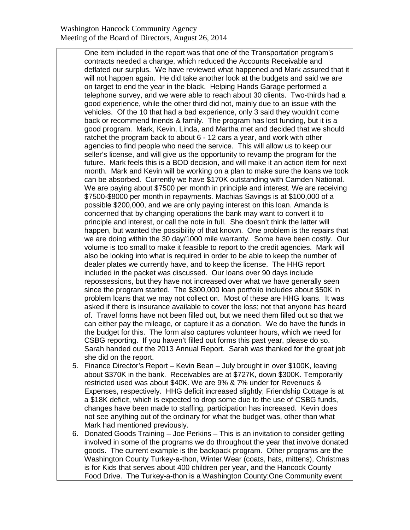## Washington Hancock Community Agency Meeting of the Board of Directors, August 26, 2014

One item included in the report was that one of the Transportation program's contracts needed a change, which reduced the Accounts Receivable and deflated our surplus. We have reviewed what happened and Mark assured that it will not happen again. He did take another look at the budgets and said we are on target to end the year in the black. Helping Hands Garage performed a telephone survey, and we were able to reach about 30 clients. Two-thirds had a good experience, while the other third did not, mainly due to an issue with the vehicles. Of the 10 that had a bad experience, only 3 said they wouldn't come back or recommend friends & family. The program has lost funding, but it is a good program. Mark, Kevin, Linda, and Martha met and decided that we should ratchet the program back to about 6 - 12 cars a year, and work with other agencies to find people who need the service. This will allow us to keep our seller's license, and will give us the opportunity to revamp the program for the future. Mark feels this is a BOD decision, and will make it an action item for next month. Mark and Kevin will be working on a plan to make sure the loans we took can be absorbed. Currently we have \$170K outstanding with Camden National. We are paying about \$7500 per month in principle and interest. We are receiving \$7500-\$8000 per month in repayments. Machias Savings is at \$100,000 of a possible \$200,000, and we are only paying interest on this loan. Amanda is concerned that by changing operations the bank may want to convert it to principle and interest, or call the note in full. She doesn't think the latter will happen, but wanted the possibility of that known. One problem is the repairs that we are doing within the 30 day/1000 mile warranty. Some have been costly. Our volume is too small to make it feasible to report to the credit agencies. Mark will also be looking into what is required in order to be able to keep the number of dealer plates we currently have, and to keep the license. The HHG report included in the packet was discussed. Our loans over 90 days include repossessions, but they have not increased over what we have generally seen since the program started. The \$300,000 loan portfolio includes about \$50K in problem loans that we may not collect on. Most of these are HHG loans. It was asked if there is insurance available to cover the loss; not that anyone has heard of. Travel forms have not been filled out, but we need them filled out so that we can either pay the mileage, or capture it as a donation. We do have the funds in the budget for this. The form also captures volunteer hours, which we need for CSBG reporting. If you haven't filled out forms this past year, please do so. Sarah handed out the 2013 Annual Report. Sarah was thanked for the great job she did on the report.

- 5. Finance Director's Report Kevin Bean July brought in over \$100K, leaving about \$370K in the bank. Receivables are at \$727K, down \$300K. Temporarily restricted used was about \$40K. We are 9% & 7% under for Revenues & Expenses, respectively. HHG deficit increased slightly; Friendship Cottage is at a \$18K deficit, which is expected to drop some due to the use of CSBG funds, changes have been made to staffing, participation has increased. Kevin does not see anything out of the ordinary for what the budget was, other than what Mark had mentioned previously.
- 6. Donated Goods Training Joe Perkins This is an invitation to consider getting involved in some of the programs we do throughout the year that involve donated goods. The current example is the backpack program. Other programs are the Washington County Turkey-a-thon, Winter Wear (coats, hats, mittens), Christmas is for Kids that serves about 400 children per year, and the Hancock County Food Drive. The Turkey-a-thon is a Washington County:One Community event